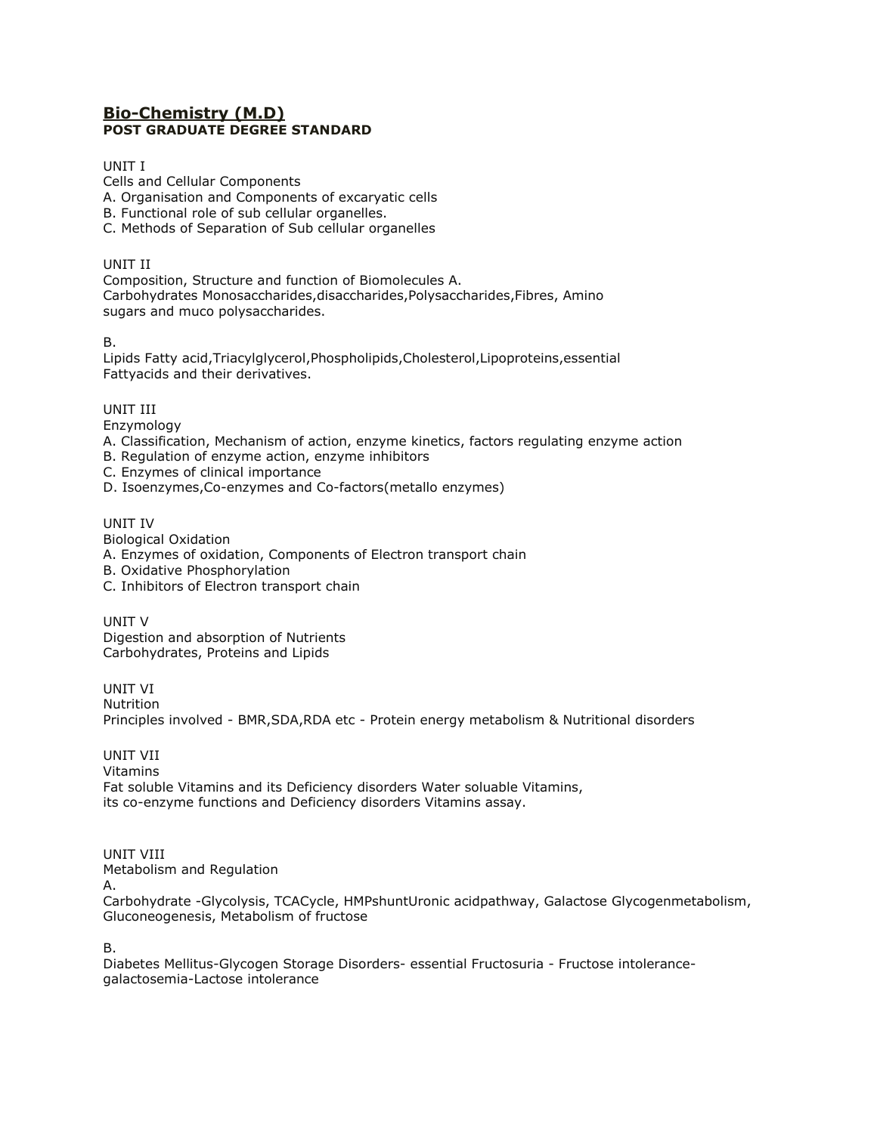## **[Bio-Chemistry \(M.D\)](http://tnpsc.gov.in/Syllabus/biochemistry_pg1.htm) POST GRADUATE DEGREE STANDARD**

## UNIT I

Cells and Cellular Components

A. Organisation and Components of excaryatic cells

- B. Functional role of sub cellular organelles.
- C. Methods of Separation of Sub cellular organelles

UNIT II

Composition, Structure and function of Biomolecules A. Carbohydrates Monosaccharides,disaccharides,Polysaccharides,Fibres, Amino sugars and muco polysaccharides.

B.

Lipids Fatty acid,Triacylglycerol,Phospholipids,Cholesterol,Lipoproteins,essential Fattyacids and their derivatives.

UNIT III

Enzymology

- A. Classification, Mechanism of action, enzyme kinetics, factors regulating enzyme action
- B. Regulation of enzyme action, enzyme inhibitors

C. Enzymes of clinical importance

D. Isoenzymes,Co-enzymes and Co-factors(metallo enzymes)

UNIT IV

Biological Oxidation

- A. Enzymes of oxidation, Components of Electron transport chain
- B. Oxidative Phosphorylation
- C. Inhibitors of Electron transport chain

UNIT V Digestion and absorption of Nutrients Carbohydrates, Proteins and Lipids

UNIT VI Nutrition Principles involved - BMR,SDA,RDA etc - Protein energy metabolism & Nutritional disorders

UNIT VII Vitamins Fat soluble Vitamins and its Deficiency disorders Water soluable Vitamins, its co-enzyme functions and Deficiency disorders Vitamins assay.

UNIT VIII

Metabolism and Regulation

A.

Carbohydrate -Glycolysis, TCACycle, HMPshuntUronic acidpathway, Galactose Glycogenmetabolism, Gluconeogenesis, Metabolism of fructose

B.

Diabetes Mellitus-Glycogen Storage Disorders- essential Fructosuria - Fructose intolerancegalactosemia-Lactose intolerance